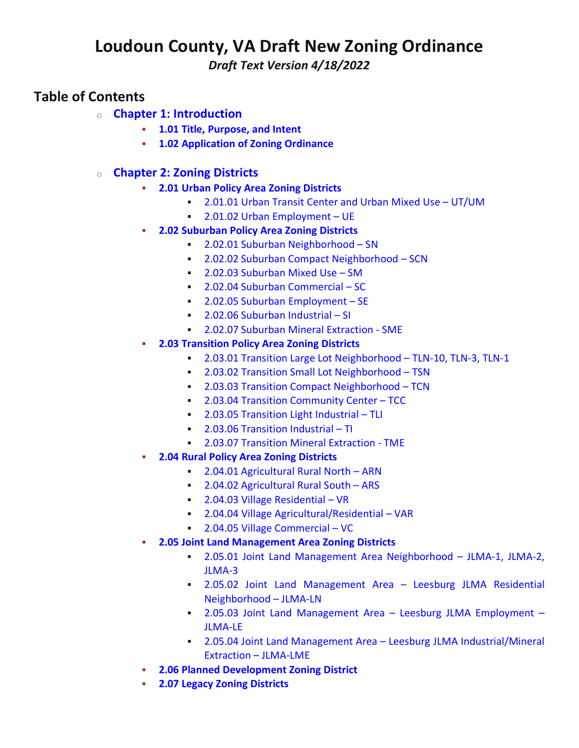# **Loudoun County, VA Draft New Zoning Ordinance**

*Draft Text Version 4/18/2022*

# **Table of Contents**

- o **Chapter 1: [Introduction](https://online.encodeplus.com/regs/loudouncounty-va-crosswalk/doc-viewer.aspx?secid=2)**
	- **1.01 Title, [Purpose,](https://online.encodeplus.com/regs/loudouncounty-va-crosswalk/doc-viewer.aspx?secid=4) and Intent**
	- **1.02 [Application](https://online.encodeplus.com/regs/loudouncounty-va-crosswalk/doc-viewer.aspx?secid=5) of Zoning Ordinance**
- o **Chapter 2: Zoning [Districts](https://online.encodeplus.com/regs/loudouncounty-va-crosswalk/doc-viewer.aspx?secid=6)**
	- **2.01 Urban Policy Area Zoning [Districts](https://online.encodeplus.com/regs/loudouncounty-va-crosswalk/doc-viewer.aspx?secid=793)**
		- [2.01.01](https://online.encodeplus.com/regs/loudouncounty-va-crosswalk/doc-viewer.aspx?secid=7) Urban Transit Center and Urban Mixed Use UT/UM
		- **2.01.02 Urban [Employment](https://online.encodeplus.com/regs/loudouncounty-va-crosswalk/doc-viewer.aspx?secid=9) UE**
	- **2.02 [Suburban](https://online.encodeplus.com/regs/loudouncounty-va-crosswalk/doc-viewer.aspx?secid=794) Policy Area Zoning Districts**
		- **2.02.01 Suburban [Neighborhood](https://online.encodeplus.com/regs/loudouncounty-va-crosswalk/doc-viewer.aspx?secid=10) SN**
		- **2.02.02 Suburban Compact [Neighborhood](https://online.encodeplus.com/regs/loudouncounty-va-crosswalk/doc-viewer.aspx?secid=11) SCN**
		- **2.02.03 [Suburban](https://online.encodeplus.com/regs/loudouncounty-va-crosswalk/doc-viewer.aspx?secid=12) Mixed Use SM**
		- 2.02.04 Suburban [Commercial](https://online.encodeplus.com/regs/loudouncounty-va-crosswalk/doc-viewer.aspx?secid=13) SC
		- 2.02.05 Suburban [Employment](https://online.encodeplus.com/regs/loudouncounty-va-crosswalk/doc-viewer.aspx?secid=14) SE
		- 2.02.06 [Suburban](https://online.encodeplus.com/regs/loudouncounty-va-crosswalk/doc-viewer.aspx?secid=15) Industrial SI
		- 2.02.07 Suburban Mineral [Extraction](https://online.encodeplus.com/regs/loudouncounty-va-crosswalk/doc-viewer.aspx?secid=1233) SME
	- **2.03 [Transition](https://online.encodeplus.com/regs/loudouncounty-va-crosswalk/doc-viewer.aspx?secid=788) Policy Area Zoning Districts**
		- 2.03.01 Transition Large Lot [Neighborhood](https://online.encodeplus.com/regs/loudouncounty-va-crosswalk/doc-viewer.aspx?secid=22) TLN-10, TLN-3, TLN-1
		- **2.03.02 Transition Small Lot [Neighborhood](https://online.encodeplus.com/regs/loudouncounty-va-crosswalk/doc-viewer.aspx?secid=25) TSN**
		- 2.03.03 Transition Compact [Neighborhood](https://online.encodeplus.com/regs/loudouncounty-va-crosswalk/doc-viewer.aspx?secid=26) TCN
		- **2.03.04 Transition [Community](https://online.encodeplus.com/regs/loudouncounty-va-crosswalk/doc-viewer.aspx?secid=27) Center TCC**
		- **2.03.05 [Transition](https://online.encodeplus.com/regs/loudouncounty-va-crosswalk/doc-viewer.aspx?secid=28) Light Industrial TLI**
		- **2.03.06 [Transition](https://online.encodeplus.com/regs/loudouncounty-va-crosswalk/doc-viewer.aspx?secid=29) Industrial TI**
		- 2.03.07 Transition Mineral [Extraction](https://online.encodeplus.com/regs/loudouncounty-va-crosswalk/doc-viewer.aspx?secid=1238) TME
	- **2.04 Rural Policy Area Zoning [Districts](https://online.encodeplus.com/regs/loudouncounty-va-crosswalk/doc-viewer.aspx?secid=795)**
		- 2.04.01 [Agricultural](https://online.encodeplus.com/regs/loudouncounty-va-crosswalk/doc-viewer.aspx?secid=30) Rural North ARN
		- 2.04.02 [Agricultural](https://online.encodeplus.com/regs/loudouncounty-va-crosswalk/doc-viewer.aspx?secid=31) Rural South ARS
		- 2.04.03 Village [Residential](https://online.encodeplus.com/regs/loudouncounty-va-crosswalk/doc-viewer.aspx?secid=35) VR
		- 2.04.04 Village [Agricultural/Residential](https://online.encodeplus.com/regs/loudouncounty-va-crosswalk/doc-viewer.aspx?secid=37) VAR
		- 2.04.05 Village [Commercial](https://online.encodeplus.com/regs/loudouncounty-va-crosswalk/doc-viewer.aspx?secid=36) VC
	- **2.05 Joint Land [Management](https://online.encodeplus.com/regs/loudouncounty-va-crosswalk/doc-viewer.aspx?secid=796) Area Zoning Districts**
		- 2.05.01 Joint Land Management Area [Neighborhood](https://online.encodeplus.com/regs/loudouncounty-va-crosswalk/doc-viewer.aspx?secid=38) JLMA-1, JLMA-2, [JLMA-3](https://online.encodeplus.com/regs/loudouncounty-va-crosswalk/doc-viewer.aspx?secid=38)
		- 2.05.02 Joint Land [Management](https://online.encodeplus.com/regs/loudouncounty-va-crosswalk/doc-viewer.aspx?secid=40) Area Leesburg JLMA Residential [Neighborhood](https://online.encodeplus.com/regs/loudouncounty-va-crosswalk/doc-viewer.aspx?secid=40) – JLMA-LN
		- 2.05.03 Joint Land [Management](https://online.encodeplus.com/regs/loudouncounty-va-crosswalk/doc-viewer.aspx?secid=41) Area Leesburg JLMA Employment [JLMA-LE](https://online.encodeplus.com/regs/loudouncounty-va-crosswalk/doc-viewer.aspx?secid=41)
		- 2.05.04 Joint Land Management Area Leesburg JLMA [Industrial/Mineral](https://online.encodeplus.com/regs/loudouncounty-va-crosswalk/doc-viewer.aspx?secid=42) Extraction – [JLMA-LME](https://online.encodeplus.com/regs/loudouncounty-va-crosswalk/doc-viewer.aspx?secid=42)
	- **2.06 Planned [Development](https://online.encodeplus.com/regs/loudouncounty-va-crosswalk/doc-viewer.aspx?secid=1247) Zoning District**
	- **2.07 Legacy Zoning [Districts](https://online.encodeplus.com/regs/loudouncounty-va-crosswalk/doc-viewer.aspx?secid=797)**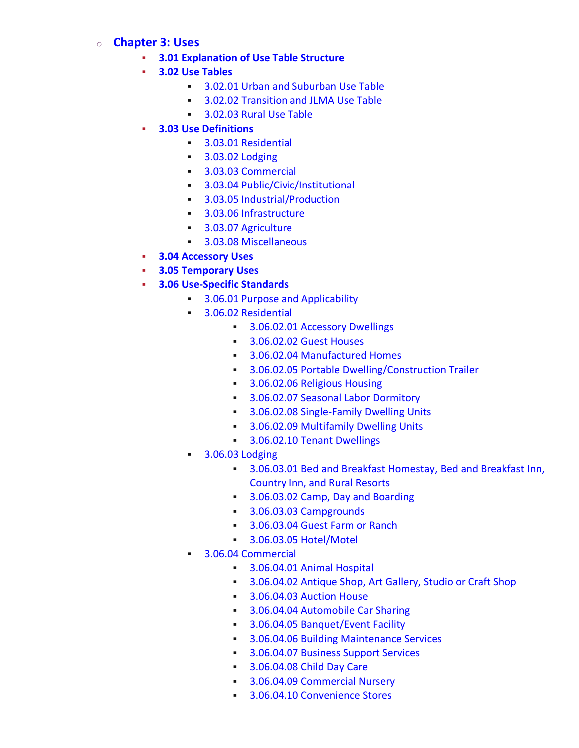# o **[Chapter](https://online.encodeplus.com/regs/loudouncounty-va-crosswalk/doc-viewer.aspx?secid=43) 3: Uses**

- **3.01 [Explanation](https://online.encodeplus.com/regs/loudouncounty-va-crosswalk/doc-viewer.aspx?secid=44) of Use Table Structure**
- **3.02 Use [Tables](https://online.encodeplus.com/regs/loudouncounty-va-crosswalk/doc-viewer.aspx?secid=45)**
	- **BED 3.02.01 Urban and [Suburban](https://online.encodeplus.com/regs/loudouncounty-va-crosswalk/doc-viewer.aspx?secid=931) Use Table**
	- **BED 3.02.02 [Transition](https://online.encodeplus.com/regs/loudouncounty-va-crosswalk/doc-viewer.aspx?secid=932) and JLMA Use Table**
	- **Brade [3.02.03](https://online.encodeplus.com/regs/loudouncounty-va-crosswalk/doc-viewer.aspx?secid=933) Rural Use Table**
- **3.03 Use [Definitions](https://online.encodeplus.com/regs/loudouncounty-va-crosswalk/doc-viewer.aspx?secid=1179)**
	- **3.03.01 [Residential](https://online.encodeplus.com/regs/loudouncounty-va-crosswalk/doc-viewer.aspx?secid=976)**
	- **3.03.02 [Lodging](https://online.encodeplus.com/regs/loudouncounty-va-crosswalk/doc-viewer.aspx?secid=996)**
	- 3.03.03 [Commercial](https://online.encodeplus.com/regs/loudouncounty-va-crosswalk/doc-viewer.aspx?secid=1005)
	- **BEDISTED:** 3.03.04 [Public/Civic/Institutional](https://online.encodeplus.com/regs/loudouncounty-va-crosswalk/doc-viewer.aspx?secid=1060)
	- **BED 3.03.05 [Industrial/Production](https://online.encodeplus.com/regs/loudouncounty-va-crosswalk/doc-viewer.aspx?secid=1106)**
	- **BED 3.03.06 [Infrastructure](https://online.encodeplus.com/regs/loudouncounty-va-crosswalk/doc-viewer.aspx?secid=1131)**
	- **BED 3.03.07 [Agriculture](https://online.encodeplus.com/regs/loudouncounty-va-crosswalk/doc-viewer.aspx?secid=1146)**
	- 3.03.08 [Miscellaneous](https://online.encodeplus.com/regs/loudouncounty-va-crosswalk/doc-viewer.aspx?secid=1147)
- **3.04 [Accessory](https://online.encodeplus.com/regs/loudouncounty-va-crosswalk/doc-viewer.aspx?secid=47) Uses**
- **3.05 [Temporary](https://online.encodeplus.com/regs/loudouncounty-va-crosswalk/doc-viewer.aspx?secid=48) Uses**
- **3.06 [Use-Specific](https://online.encodeplus.com/regs/loudouncounty-va-crosswalk/doc-viewer.aspx?secid=49) Standards**
	- **3.06.01 Purpose and [Applicability](https://online.encodeplus.com/regs/loudouncounty-va-crosswalk/doc-viewer.aspx?secid=967)**
	- **BEDEE 3.06.02 [Residential](https://online.encodeplus.com/regs/loudouncounty-va-crosswalk/doc-viewer.aspx?secid=936)** 
		- **BEDEE [3.06.02.01](https://online.encodeplus.com/regs/loudouncounty-va-crosswalk/doc-viewer.aspx?secid=808) Accessory Dwellings**
		- **[3.06.02.02](https://online.encodeplus.com/regs/loudouncounty-va-crosswalk/doc-viewer.aspx?secid=807) Guest Houses**
		- **Brand 3.06.02.04 [Manufactured](https://online.encodeplus.com/regs/loudouncounty-va-crosswalk/doc-viewer.aspx?secid=815) Homes**
		- **BEDEE 3.06.02.05 Portable [Dwelling/Construction](https://online.encodeplus.com/regs/loudouncounty-va-crosswalk/doc-viewer.aspx?secid=1206) Trailer**
		- **8.06.02.06 Religious Housing**
		- **Broad [3.06.02.07](https://online.encodeplus.com/regs/loudouncounty-va-crosswalk/doc-viewer.aspx?secid=827) Seasonal Labor Dormitory**
		- **BED 3.06.02.08 [Single-Family](https://online.encodeplus.com/regs/loudouncounty-va-crosswalk/doc-viewer.aspx?secid=1232) Dwelling Units**
		- **3.06.02.09 [Multifamily](https://online.encodeplus.com/regs/loudouncounty-va-crosswalk/doc-viewer.aspx?secid=1375) Dwelling Units**
		- **BEDEE [3.06.02.10](https://online.encodeplus.com/regs/loudouncounty-va-crosswalk/doc-viewer.aspx?secid=791) Tenant Dwellings**
	- **•** 3.06.03 [Lodging](https://online.encodeplus.com/regs/loudouncounty-va-crosswalk/doc-viewer.aspx?secid=937)
		- **BED 3.06.03.01 Bed and Breakfast [Homestay,](https://online.encodeplus.com/regs/loudouncounty-va-crosswalk/doc-viewer.aspx?secid=790) Bed and Breakfast Inn,** [Country](https://online.encodeplus.com/regs/loudouncounty-va-crosswalk/doc-viewer.aspx?secid=790) Inn, and Rural Resorts
		- **BED [3.06.03.02](https://online.encodeplus.com/regs/loudouncounty-va-crosswalk/doc-viewer.aspx?secid=840) Camp, Day and Boarding**
		- **Branch 3.06.03.03 [Campgrounds](https://online.encodeplus.com/regs/loudouncounty-va-crosswalk/doc-viewer.aspx?secid=841)**
		- **Branch [3.06.03.04](https://online.encodeplus.com/regs/loudouncounty-va-crosswalk/doc-viewer.aspx?secid=1214) Guest Farm or Ranch**
		- **3.06.03.05 [Hotel/Motel](https://online.encodeplus.com/regs/loudouncounty-va-crosswalk/doc-viewer.aspx?secid=806)**
	- 3.06.04 [Commercial](https://online.encodeplus.com/regs/loudouncounty-va-crosswalk/doc-viewer.aspx?secid=938)
		- **Branch [3.06.04.01](https://online.encodeplus.com/regs/loudouncounty-va-crosswalk/doc-viewer.aspx?secid=826) Animal Hospital**
		- **[3.06.04.02](https://online.encodeplus.com/regs/loudouncounty-va-crosswalk/doc-viewer.aspx?secid=845) Antique Shop, Art Gallery, Studio or Craft Shop**
		- [3.06.04.03](https://online.encodeplus.com/regs/loudouncounty-va-crosswalk/doc-viewer.aspx?secid=846) Auction House
		- **BEDEE 3.06.04.04 [Automobile](https://online.encodeplus.com/regs/loudouncounty-va-crosswalk/doc-viewer.aspx?secid=1241) Car Sharing**
		- **[Banquet/Event](https://online.encodeplus.com/regs/loudouncounty-va-crosswalk/doc-viewer.aspx?secid=837) Facility**
		- **BED 3.06.04.06 Building [Maintenance](https://online.encodeplus.com/regs/loudouncounty-va-crosswalk/doc-viewer.aspx?secid=1204) Services**
		- **BUSINES** [3.06.04.07](https://online.encodeplus.com/regs/loudouncounty-va-crosswalk/doc-viewer.aspx?secid=856) Business Support Services
		- **Branch [3.06.04.08](https://online.encodeplus.com/regs/loudouncounty-va-crosswalk/doc-viewer.aspx?secid=804) Child Day Care**
		- **BEDEE 3.06.04.09 [Commercial](https://online.encodeplus.com/regs/loudouncounty-va-crosswalk/doc-viewer.aspx?secid=800) Nursery**
		- **3.06.04.10 [Convenience](https://online.encodeplus.com/regs/loudouncounty-va-crosswalk/doc-viewer.aspx?secid=812) Stores**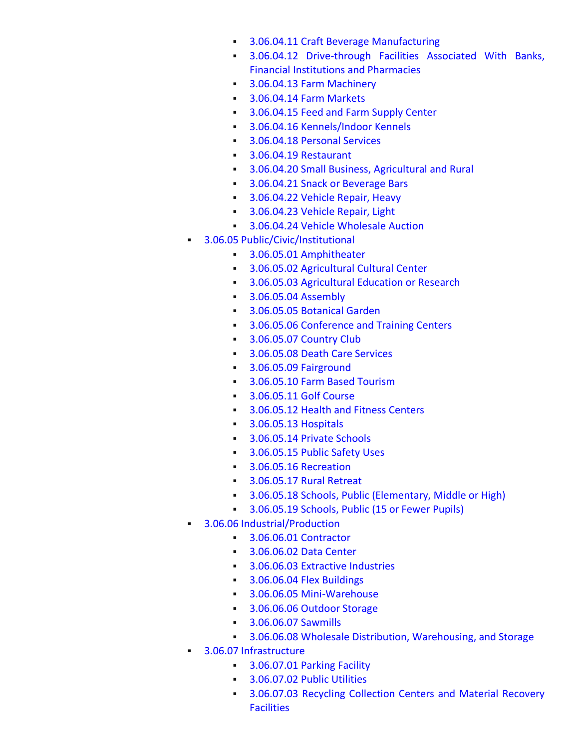- **3.06.04.11 Craft Beverage [Manufacturing](https://online.encodeplus.com/regs/loudouncounty-va-crosswalk/doc-viewer.aspx?secid=863)**
- 3.06.04.12 [Drive-through](https://online.encodeplus.com/regs/loudouncounty-va-crosswalk/doc-viewer.aspx?secid=854) Facilities Associated With Banks, Financial Institutions and [Pharmacies](https://online.encodeplus.com/regs/loudouncounty-va-crosswalk/doc-viewer.aspx?secid=854)
- **Branch 3.06.04.13 Farm [Machinery](https://online.encodeplus.com/regs/loudouncounty-va-crosswalk/doc-viewer.aspx?secid=810)**
- **Brade [3.06.04.14](https://online.encodeplus.com/regs/loudouncounty-va-crosswalk/doc-viewer.aspx?secid=792) Farm Markets**
- **BED [3.06.04.15](https://online.encodeplus.com/regs/loudouncounty-va-crosswalk/doc-viewer.aspx?secid=1243) Feed and Farm Supply Center**
- **Brandon** 3.06.04.16 [Kennels/Indoor](https://online.encodeplus.com/regs/loudouncounty-va-crosswalk/doc-viewer.aspx?secid=801) Kennels
- **Branch [3.06.04.18](https://online.encodeplus.com/regs/loudouncounty-va-crosswalk/doc-viewer.aspx?secid=1205) Personal Services**
- **BEDEE 3.06.04.19 [Restaurant](https://online.encodeplus.com/regs/loudouncounty-va-crosswalk/doc-viewer.aspx?secid=838)**
- **3.06.04.20 Small Business, [Agricultural](https://online.encodeplus.com/regs/loudouncounty-va-crosswalk/doc-viewer.aspx?secid=809) and Rural**
- **Brack [3.06.04.21](https://online.encodeplus.com/regs/loudouncounty-va-crosswalk/doc-viewer.aspx?secid=836) Snack or Beverage Bars**
- **BED [3.06.04.22](https://online.encodeplus.com/regs/loudouncounty-va-crosswalk/doc-viewer.aspx?secid=1177) Vehicle Repair, Heavy**
- **BED [3.06.04.23](https://online.encodeplus.com/regs/loudouncounty-va-crosswalk/doc-viewer.aspx?secid=1239) Vehicle Repair, Light**
- **BEB 3.06.04.24 Vehicle [Wholesale](https://online.encodeplus.com/regs/loudouncounty-va-crosswalk/doc-viewer.aspx?secid=819) Auction**
- **B.06.05 [Public/Civic/Institutional](https://online.encodeplus.com/regs/loudouncounty-va-crosswalk/doc-viewer.aspx?secid=939)** 
	- **8.06.05.01 [Amphitheater](https://online.encodeplus.com/regs/loudouncounty-va-crosswalk/doc-viewer.aspx?secid=844)**
	- 3.06.05.02 [Agricultural](https://online.encodeplus.com/regs/loudouncounty-va-crosswalk/doc-viewer.aspx?secid=829) Cultural Center
	- **BILER 3.06.05.03 [Agricultural](https://online.encodeplus.com/regs/loudouncounty-va-crosswalk/doc-viewer.aspx?secid=839) Education or Research**
	- [3.06.05.04](https://online.encodeplus.com/regs/loudouncounty-va-crosswalk/doc-viewer.aspx?secid=834) Assembly
	- **Botanical Garden**
	- **BED 3.06.05.06 [Conference](https://online.encodeplus.com/regs/loudouncounty-va-crosswalk/doc-viewer.aspx?secid=835) and Training Centers**
	- **B** [3.06.05.07](https://online.encodeplus.com/regs/loudouncounty-va-crosswalk/doc-viewer.aspx?secid=855) Country Club
	- **Branch [3.06.05.08](https://online.encodeplus.com/regs/loudouncounty-va-crosswalk/doc-viewer.aspx?secid=832) Death Care Services**
	- 3.06.05.09 [Fairground](https://online.encodeplus.com/regs/loudouncounty-va-crosswalk/doc-viewer.aspx?secid=830)
	- **[3.06.05.10](https://online.encodeplus.com/regs/loudouncounty-va-crosswalk/doc-viewer.aspx?secid=823) Farm Based Tourism**
	- **[3.06.05.11](https://online.encodeplus.com/regs/loudouncounty-va-crosswalk/doc-viewer.aspx?secid=843) Golf Course**
	- **BEAD [3.06.05.12](https://online.encodeplus.com/regs/loudouncounty-va-crosswalk/doc-viewer.aspx?secid=1203) Health and Fitness Centers**
	- [3.06.05.13](https://online.encodeplus.com/regs/loudouncounty-va-crosswalk/doc-viewer.aspx?secid=805) Hospitals
	- **Branch [3.06.05.14](https://online.encodeplus.com/regs/loudouncounty-va-crosswalk/doc-viewer.aspx?secid=818) Private Schools**
	- **Branch [3.06.05.15](https://online.encodeplus.com/regs/loudouncounty-va-crosswalk/doc-viewer.aspx?secid=833) Public Safety Uses**
	- 3.06.05.16 [Recreation](https://online.encodeplus.com/regs/loudouncounty-va-crosswalk/doc-viewer.aspx?secid=1212)
	- **[3.06.05.17](https://online.encodeplus.com/regs/loudouncounty-va-crosswalk/doc-viewer.aspx?secid=814) Rural Retreat**
	- **3.06.05.18 Schools, Public [\(Elementary,](https://online.encodeplus.com/regs/loudouncounty-va-crosswalk/doc-viewer.aspx?secid=861) Middle or High)**
	- **BED [3.06.05.19](https://online.encodeplus.com/regs/loudouncounty-va-crosswalk/doc-viewer.aspx?secid=850) Schools, Public (15 or Fewer Pupils)**
- **3.06.06 [Industrial/Production](https://online.encodeplus.com/regs/loudouncounty-va-crosswalk/doc-viewer.aspx?secid=940)** 
	- 3.06.06.01 [Contractor](https://online.encodeplus.com/regs/loudouncounty-va-crosswalk/doc-viewer.aspx?secid=857)
	- **[3.06.06.02](https://online.encodeplus.com/regs/loudouncounty-va-crosswalk/doc-viewer.aspx?secid=859) Data Center**
	- [3.06.06.03](https://online.encodeplus.com/regs/loudouncounty-va-crosswalk/doc-viewer.aspx?secid=934) Extractive Industries
	- **[3.06.06.04](https://online.encodeplus.com/regs/loudouncounty-va-crosswalk/doc-viewer.aspx?secid=803) Flex Buildings**
	- **Branch 3.06.06.05 [Mini-Warehouse](https://online.encodeplus.com/regs/loudouncounty-va-crosswalk/doc-viewer.aspx?secid=860)**
	- **Branch [3.06.06.06](https://online.encodeplus.com/regs/loudouncounty-va-crosswalk/doc-viewer.aspx?secid=1209) Outdoor Storage**
	- **[3.06.06.07](https://online.encodeplus.com/regs/loudouncounty-va-crosswalk/doc-viewer.aspx?secid=824) Sawmills**
	- **3.06.06.08 Wholesale Distribution, [Warehousing,](https://online.encodeplus.com/regs/loudouncounty-va-crosswalk/doc-viewer.aspx?secid=858) and Storage**
- 3.06.07 [Infrastructure](https://online.encodeplus.com/regs/loudouncounty-va-crosswalk/doc-viewer.aspx?secid=941)
	- **Brade [3.06.07.01](https://online.encodeplus.com/regs/loudouncounty-va-crosswalk/doc-viewer.aspx?secid=1213) Parking Facility**
	- **[3.06.07.02](https://online.encodeplus.com/regs/loudouncounty-va-crosswalk/doc-viewer.aspx?secid=816) Public Utilities**
	- **[3.06.07.03](https://online.encodeplus.com/regs/loudouncounty-va-crosswalk/doc-viewer.aspx?secid=802) Recycling Collection Centers and Material Recovery [Facilities](https://online.encodeplus.com/regs/loudouncounty-va-crosswalk/doc-viewer.aspx?secid=802)**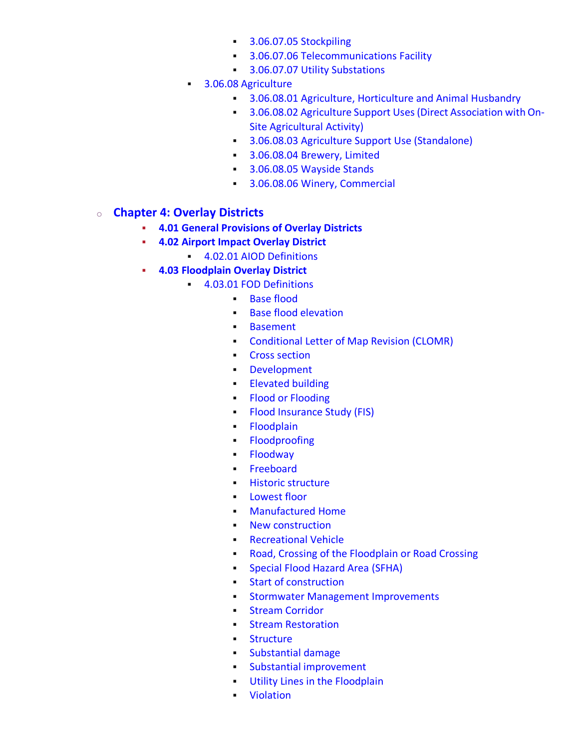- 3.06.07.05 [Stockpiling](https://online.encodeplus.com/regs/loudouncounty-va-crosswalk/doc-viewer.aspx?secid=852)
- **BEDEE 3.06.07.06 [Telecommunications](https://online.encodeplus.com/regs/loudouncounty-va-crosswalk/doc-viewer.aspx?secid=813) Facility**
- **BEDEE 3.06.07.07 Utility [Substations](https://online.encodeplus.com/regs/loudouncounty-va-crosswalk/doc-viewer.aspx?secid=811)**
- **BEDEE 3.06.08 [Agriculture](https://online.encodeplus.com/regs/loudouncounty-va-crosswalk/doc-viewer.aspx?secid=942)** 
	- **3.06.08.01 Agriculture, [Horticulture](https://online.encodeplus.com/regs/loudouncounty-va-crosswalk/doc-viewer.aspx?secid=821) and Animal Husbandry**
	- **8.06.08.02 Agriculture Support Uses (Direct Association with On-**Site [Agricultural](https://online.encodeplus.com/regs/loudouncounty-va-crosswalk/doc-viewer.aspx?secid=822) Activity)
	- **3.06.08.03 Agriculture Support Use [\(Standalone\)](https://online.encodeplus.com/regs/loudouncounty-va-crosswalk/doc-viewer.aspx?secid=825)**
	- **Brewery, Limited [3.06.08.04](https://online.encodeplus.com/regs/loudouncounty-va-crosswalk/doc-viewer.aspx?secid=862) Brewery, Limited**
	- **Brands** [3.06.08.05](https://online.encodeplus.com/regs/loudouncounty-va-crosswalk/doc-viewer.aspx?secid=799) Wayside Stands
	- **BEDEE 3.06.08.06 Winery, [Commercial](https://online.encodeplus.com/regs/loudouncounty-va-crosswalk/doc-viewer.aspx?secid=820)**

#### o **Chapter 4: Overlay [Districts](https://online.encodeplus.com/regs/loudouncounty-va-crosswalk/doc-viewer.aspx?secid=50)**

- **4.01 General [Provisions](https://online.encodeplus.com/regs/loudouncounty-va-crosswalk/doc-viewer.aspx?secid=1446) of Overlay Districts**
- **4.02 Airport Impact [Overlay](https://online.encodeplus.com/regs/loudouncounty-va-crosswalk/doc-viewer.aspx?secid=51) District**
	- **4.02.01 AIOD [Definitions](https://online.encodeplus.com/regs/loudouncounty-va-crosswalk/doc-viewer.aspx?secid=887)**
- **4.03 [Floodplain](https://online.encodeplus.com/regs/loudouncounty-va-crosswalk/doc-viewer.aspx?secid=52) Overlay District**
	- 4.03.01 FOD [Definitions](https://online.encodeplus.com/regs/loudouncounty-va-crosswalk/doc-viewer.aspx?secid=744)
		- Base [flood](https://online.encodeplus.com/regs/loudouncounty-va-crosswalk/doc-viewer.aspx?secid=746)
		- Base flood [elevation](https://online.encodeplus.com/regs/loudouncounty-va-crosswalk/doc-viewer.aspx?secid=747)
		- [Basement](https://online.encodeplus.com/regs/loudouncounty-va-crosswalk/doc-viewer.aspx?secid=748)
		- **[Conditional](https://online.encodeplus.com/regs/loudouncounty-va-crosswalk/doc-viewer.aspx?secid=749) Letter of Map Revision (CLOMR)**
		- Cross [section](https://online.encodeplus.com/regs/loudouncounty-va-crosswalk/doc-viewer.aspx?secid=750)
		- [Development](https://online.encodeplus.com/regs/loudouncounty-va-crosswalk/doc-viewer.aspx?secid=751)
		- **[Elevated](https://online.encodeplus.com/regs/loudouncounty-va-crosswalk/doc-viewer.aspx?secid=752) building**
		- Flood or [Flooding](https://online.encodeplus.com/regs/loudouncounty-va-crosswalk/doc-viewer.aspx?secid=775)
		- **Example 2** Flood [Insurance](https://online.encodeplus.com/regs/loudouncounty-va-crosswalk/doc-viewer.aspx?secid=754) Study (FIS)
		- [Floodplain](https://online.encodeplus.com/regs/loudouncounty-va-crosswalk/doc-viewer.aspx?secid=755)
		- [Floodproofing](https://online.encodeplus.com/regs/loudouncounty-va-crosswalk/doc-viewer.aspx?secid=756)
		- [Floodway](https://online.encodeplus.com/regs/loudouncounty-va-crosswalk/doc-viewer.aspx?secid=757)
		- [Freeboard](https://online.encodeplus.com/regs/loudouncounty-va-crosswalk/doc-viewer.aspx?secid=776)
		- Historic [structure](https://online.encodeplus.com/regs/loudouncounty-va-crosswalk/doc-viewer.aspx?secid=758)
		- [Lowest](https://online.encodeplus.com/regs/loudouncounty-va-crosswalk/doc-viewer.aspx?secid=759) floor
		- [Manufactured](https://online.encodeplus.com/regs/loudouncounty-va-crosswalk/doc-viewer.aspx?secid=760) Home
		- New [construction](https://online.encodeplus.com/regs/loudouncounty-va-crosswalk/doc-viewer.aspx?secid=761)
		- **[Recreational](https://online.encodeplus.com/regs/loudouncounty-va-crosswalk/doc-viewer.aspx?secid=762) Vehicle**
		- **Road, Crossing of the [Floodplain](https://online.encodeplus.com/regs/loudouncounty-va-crosswalk/doc-viewer.aspx?secid=763) or Road Crossing**
		- **E** [Special](https://online.encodeplus.com/regs/loudouncounty-va-crosswalk/doc-viewer.aspx?secid=764) Flood Hazard Area (SFHA)
		- Start of [construction](https://online.encodeplus.com/regs/loudouncounty-va-crosswalk/doc-viewer.aspx?secid=765)
		- **Stormwater Management [Improvements](https://online.encodeplus.com/regs/loudouncounty-va-crosswalk/doc-viewer.aspx?secid=766)**
		- Stream [Corridor](https://online.encodeplus.com/regs/loudouncounty-va-crosswalk/doc-viewer.aspx?secid=767)
		- **Ending Stream [Restoration](https://online.encodeplus.com/regs/loudouncounty-va-crosswalk/doc-viewer.aspx?secid=768)**
		- [Structure](https://online.encodeplus.com/regs/loudouncounty-va-crosswalk/doc-viewer.aspx?secid=769)
		- [Substantial](https://online.encodeplus.com/regs/loudouncounty-va-crosswalk/doc-viewer.aspx?secid=770) damage
		- **Example 1 Substantial [improvement](https://online.encodeplus.com/regs/loudouncounty-va-crosswalk/doc-viewer.aspx?secid=771)**
		- **Utility Lines in the [Floodplain](https://online.encodeplus.com/regs/loudouncounty-va-crosswalk/doc-viewer.aspx?secid=772)**
		- [Violation](https://online.encodeplus.com/regs/loudouncounty-va-crosswalk/doc-viewer.aspx?secid=773)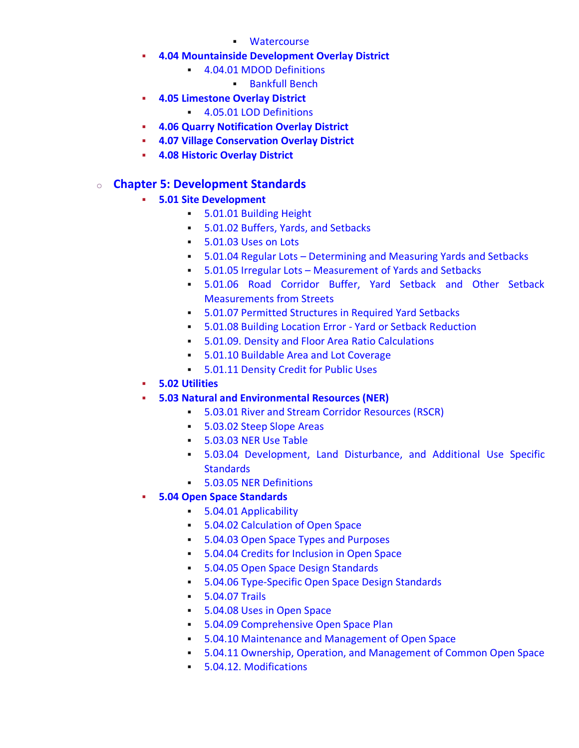- [Watercourse](https://online.encodeplus.com/regs/loudouncounty-va-crosswalk/doc-viewer.aspx?secid=774)
- **4.04 [Mountainside](https://online.encodeplus.com/regs/loudouncounty-va-crosswalk/doc-viewer.aspx?secid=53) Development Overlay District**
	- 4.04.01 MDOD [Definitions](https://online.encodeplus.com/regs/loudouncounty-va-crosswalk/doc-viewer.aspx?secid=1187)
		- [Bankfull](https://online.encodeplus.com/regs/loudouncounty-va-crosswalk/doc-viewer.aspx?secid=1223) Bench
- **4.05 [Limestone](https://online.encodeplus.com/regs/loudouncounty-va-crosswalk/doc-viewer.aspx?secid=54) Overlay District**
	- 4.05.01 LOD [Definitions](https://online.encodeplus.com/regs/loudouncounty-va-crosswalk/doc-viewer.aspx?secid=1180)
- **4.06 Quarry [Notification](https://online.encodeplus.com/regs/loudouncounty-va-crosswalk/doc-viewer.aspx?secid=55) Overlay District**
- **4.07 Village [Conservation](https://online.encodeplus.com/regs/loudouncounty-va-crosswalk/doc-viewer.aspx?secid=1226) Overlay District**
- **4.08 Historic [Overlay](https://online.encodeplus.com/regs/loudouncounty-va-crosswalk/doc-viewer.aspx?secid=1267) District**

## o **Chapter 5: [Development](https://online.encodeplus.com/regs/loudouncounty-va-crosswalk/doc-viewer.aspx?secid=57) Standards**

- **5.01 Site [Development](https://online.encodeplus.com/regs/loudouncounty-va-crosswalk/doc-viewer.aspx?secid=58)**
	- **5.01.01 [Building](https://online.encodeplus.com/regs/loudouncounty-va-crosswalk/doc-viewer.aspx?secid=1428) Height**
	- **5.01.02 Buffers, Yards, and [Setbacks](https://online.encodeplus.com/regs/loudouncounty-va-crosswalk/doc-viewer.aspx?secid=1429)**
	- **[5.01.03](https://online.encodeplus.com/regs/loudouncounty-va-crosswalk/doc-viewer.aspx?secid=1430) Uses on Lots**
	- **5.01.04 Regular Lots [Determining](https://online.encodeplus.com/regs/loudouncounty-va-crosswalk/doc-viewer.aspx?secid=1431) and Measuring Yards and Setbacks**
	- **5.01.05 Irregular Lots [Measurement](https://online.encodeplus.com/regs/loudouncounty-va-crosswalk/doc-viewer.aspx?secid=1432) of Yards and Setbacks**
	- 5.01.06 Road [Corridor](https://online.encodeplus.com/regs/loudouncounty-va-crosswalk/doc-viewer.aspx?secid=1433) Buffer, Yard Setback and Other Setback [Measurements](https://online.encodeplus.com/regs/loudouncounty-va-crosswalk/doc-viewer.aspx?secid=1433) from Streets
	- **5.01.07 Permitted [Structures](https://online.encodeplus.com/regs/loudouncounty-va-crosswalk/doc-viewer.aspx?secid=1434) in Required Yard Setbacks**
	- **5.01.08 Building Location Error Yard or Setback [Reduction](https://online.encodeplus.com/regs/loudouncounty-va-crosswalk/doc-viewer.aspx?secid=1435)**
	- **5.01.09. Density and Floor Area Ratio [Calculations](https://online.encodeplus.com/regs/loudouncounty-va-crosswalk/doc-viewer.aspx?secid=1436)**
	- **5.01.10 Buildable Area and Lot [Coverage](https://online.encodeplus.com/regs/loudouncounty-va-crosswalk/doc-viewer.aspx?secid=1437)**
	- **5.01.11 [Density](https://online.encodeplus.com/regs/loudouncounty-va-crosswalk/doc-viewer.aspx?secid=1438) Credit for Public Uses**
- **5.02 [Utilities](https://online.encodeplus.com/regs/loudouncounty-va-crosswalk/doc-viewer.aspx?secid=59)**
- **5.03 Natural and [Environmental](https://online.encodeplus.com/regs/loudouncounty-va-crosswalk/doc-viewer.aspx?secid=60) Resources (NER)**
	- **5.03.01 River and Stream Corridor [Resources](https://online.encodeplus.com/regs/loudouncounty-va-crosswalk/doc-viewer.aspx?secid=893) (RSCR)**
	- **[5.03.02](https://online.encodeplus.com/regs/loudouncounty-va-crosswalk/doc-viewer.aspx?secid=909) Steep Slope Areas**
	- **[5.03.03](https://online.encodeplus.com/regs/loudouncounty-va-crosswalk/doc-viewer.aspx?secid=1301) NER Use Table**
	- **5.03.04 [Development,](https://online.encodeplus.com/regs/loudouncounty-va-crosswalk/doc-viewer.aspx?secid=947) Land Disturbance, and Additional Use Specific [Standards](https://online.encodeplus.com/regs/loudouncounty-va-crosswalk/doc-viewer.aspx?secid=947)**
	- **5.03.05 NER [Definitions](https://online.encodeplus.com/regs/loudouncounty-va-crosswalk/doc-viewer.aspx?secid=930)**
- **5.04 Open Space [Standards](https://online.encodeplus.com/regs/loudouncounty-va-crosswalk/doc-viewer.aspx?secid=61)**
	- **5.04.01 [Applicability](https://online.encodeplus.com/regs/loudouncounty-va-crosswalk/doc-viewer.aspx?secid=1447)**
	- **5.04.02 [Calculation](https://online.encodeplus.com/regs/loudouncounty-va-crosswalk/doc-viewer.aspx?secid=1448) of Open Space**
	- 5.04.03 Open Space Types and [Purposes](https://online.encodeplus.com/regs/loudouncounty-va-crosswalk/doc-viewer.aspx?secid=1449)
	- **5.04.04 Credits for [Inclusion](https://online.encodeplus.com/regs/loudouncounty-va-crosswalk/doc-viewer.aspx?secid=1450) in Open Space**
	- **5.04.05 Open Space Design [Standards](https://online.encodeplus.com/regs/loudouncounty-va-crosswalk/doc-viewer.aspx?secid=1451)**
	- **5.04.06 [Type-Specific](https://online.encodeplus.com/regs/loudouncounty-va-crosswalk/doc-viewer.aspx?secid=1452) Open Space Design Standards**
	- [5.04.07](https://online.encodeplus.com/regs/loudouncounty-va-crosswalk/doc-viewer.aspx?secid=1453) Trails
	- **[5.04.08](https://online.encodeplus.com/regs/loudouncounty-va-crosswalk/doc-viewer.aspx?secid=1454) Uses in Open Space**
	- **5.04.09 [Comprehensive](https://online.encodeplus.com/regs/loudouncounty-va-crosswalk/doc-viewer.aspx?secid=1455) Open Space Plan**
	- **5.04.10 Maintenance and [Management](https://online.encodeplus.com/regs/loudouncounty-va-crosswalk/doc-viewer.aspx?secid=1456) of Open Space**
	- 5.04.11 Ownership, Operation, and [Management](https://online.encodeplus.com/regs/loudouncounty-va-crosswalk/doc-viewer.aspx?secid=1457) of Common Open Space
	- **5.04.12. [Modifications](https://online.encodeplus.com/regs/loudouncounty-va-crosswalk/doc-viewer.aspx?secid=1458)**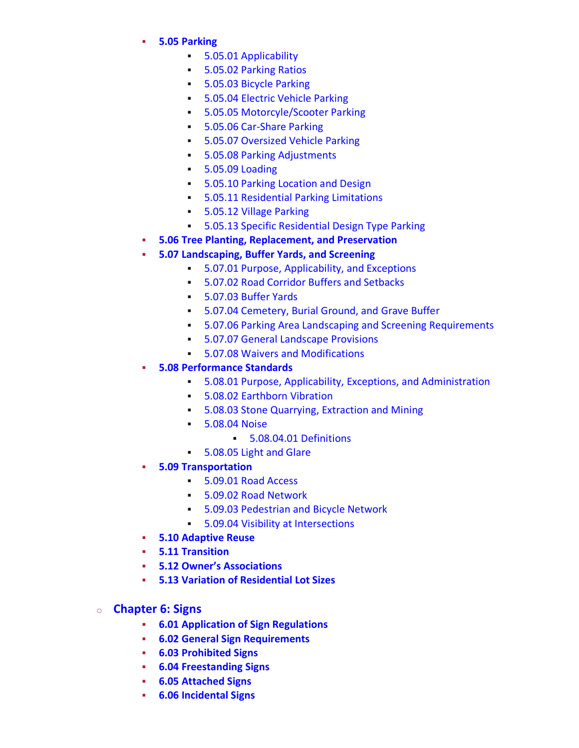- **5.05 [Parking](https://online.encodeplus.com/regs/loudouncounty-va-crosswalk/doc-viewer.aspx?secid=62)**
	- 5.05.01 [Applicability](https://online.encodeplus.com/regs/loudouncounty-va-crosswalk/doc-viewer.aspx?secid=917)
	- 5.05.02 [Parking](https://online.encodeplus.com/regs/loudouncounty-va-crosswalk/doc-viewer.aspx?secid=918) Ratios
	- **5.05.03 Bicycle [Parking](https://online.encodeplus.com/regs/loudouncounty-va-crosswalk/doc-viewer.aspx?secid=924)**
	- **5.05.04 Electric Vehicle [Parking](https://online.encodeplus.com/regs/loudouncounty-va-crosswalk/doc-viewer.aspx?secid=920)**
	- 5.05.05 [Motorcyle/Scooter](https://online.encodeplus.com/regs/loudouncounty-va-crosswalk/doc-viewer.aspx?secid=921) Parking
	- **5.05.06 [Car-Share](https://online.encodeplus.com/regs/loudouncounty-va-crosswalk/doc-viewer.aspx?secid=922) Parking**
	- **5.05.07 [Oversized](https://online.encodeplus.com/regs/loudouncounty-va-crosswalk/doc-viewer.aspx?secid=923) Vehicle Parking**
	- **5.05.08 Parking [Adjustments](https://online.encodeplus.com/regs/loudouncounty-va-crosswalk/doc-viewer.aspx?secid=919)**
	- **5.05.09 [Loading](https://online.encodeplus.com/regs/loudouncounty-va-crosswalk/doc-viewer.aspx?secid=925)**
	- **5.05.10 Parking [Location](https://online.encodeplus.com/regs/loudouncounty-va-crosswalk/doc-viewer.aspx?secid=926) and Design**
	- **5.05.11 [Residential](https://online.encodeplus.com/regs/loudouncounty-va-crosswalk/doc-viewer.aspx?secid=928) Parking Limitations**
	- 5.05.12 Village [Parking](https://online.encodeplus.com/regs/loudouncounty-va-crosswalk/doc-viewer.aspx?secid=964)
	- **5.05.13 Specific [Residential](https://online.encodeplus.com/regs/loudouncounty-va-crosswalk/doc-viewer.aspx?secid=968) Design Type Parking**
- **5.06 Tree Planting, [Replacement,](https://online.encodeplus.com/regs/loudouncounty-va-crosswalk/doc-viewer.aspx?secid=914) and Preservation**
- **5.07 [Landscaping,](https://online.encodeplus.com/regs/loudouncounty-va-crosswalk/doc-viewer.aspx?secid=63) Buffer Yards, and Screening**
	- **5.07.01 Purpose, [Applicability,](https://online.encodeplus.com/regs/loudouncounty-va-crosswalk/doc-viewer.aspx?secid=963) and Exceptions**
	- **5.07.02 Road Corridor Buffers and [Setbacks](https://online.encodeplus.com/regs/loudouncounty-va-crosswalk/doc-viewer.aspx?secid=915)**
	- [5.07.03](https://online.encodeplus.com/regs/loudouncounty-va-crosswalk/doc-viewer.aspx?secid=962) Buffer Yards
	- **5.07.04 [Cemetery,](https://online.encodeplus.com/regs/loudouncounty-va-crosswalk/doc-viewer.aspx?secid=957) Burial Ground, and Grave Buffer**
	- 5.07.06 Parking Area Landscaping and Screening [Requirements](https://online.encodeplus.com/regs/loudouncounty-va-crosswalk/doc-viewer.aspx?secid=959)
	- **5.07.07 General [Landscape](https://online.encodeplus.com/regs/loudouncounty-va-crosswalk/doc-viewer.aspx?secid=960) Provisions**
	- **5.07.08 Waivers and [Modifications](https://online.encodeplus.com/regs/loudouncounty-va-crosswalk/doc-viewer.aspx?secid=961)**
- **5.08 [Performance](https://online.encodeplus.com/regs/loudouncounty-va-crosswalk/doc-viewer.aspx?secid=64) Standards**
	- 5.08.01 Purpose, Applicability, Exceptions, and [Administration](https://online.encodeplus.com/regs/loudouncounty-va-crosswalk/doc-viewer.aspx?secid=1316)
	- **5.08.02 [Earthborn](https://online.encodeplus.com/regs/loudouncounty-va-crosswalk/doc-viewer.aspx?secid=1317) Vibration**
	- **5.08.03 Stone [Quarrying,](https://online.encodeplus.com/regs/loudouncounty-va-crosswalk/doc-viewer.aspx?secid=1319) Extraction and Mining**
	- [5.08.04](https://online.encodeplus.com/regs/loudouncounty-va-crosswalk/doc-viewer.aspx?secid=1320) Noise
		- **5.08.04.01 [Definitions](https://online.encodeplus.com/regs/loudouncounty-va-crosswalk/doc-viewer.aspx?secid=1323)**
	- **[5.08.05](https://online.encodeplus.com/regs/loudouncounty-va-crosswalk/doc-viewer.aspx?secid=1321) Light and Glare**
- **5.09 [Transportation](https://online.encodeplus.com/regs/loudouncounty-va-crosswalk/doc-viewer.aspx?secid=1399)**
	- [5.09.01](https://online.encodeplus.com/regs/loudouncounty-va-crosswalk/doc-viewer.aspx?secid=849) Road Access
	- 5.09.02 Road [Network](https://online.encodeplus.com/regs/loudouncounty-va-crosswalk/doc-viewer.aspx?secid=1386)
	- **5.09.03 [Pedestrian](https://online.encodeplus.com/regs/loudouncounty-va-crosswalk/doc-viewer.aspx?secid=1365) and Bicycle Network**
	- **5.09.04 Visibility at [Intersections](https://online.encodeplus.com/regs/loudouncounty-va-crosswalk/doc-viewer.aspx?secid=67)**
- **5.10 [Adaptive](https://online.encodeplus.com/regs/loudouncounty-va-crosswalk/doc-viewer.aspx?secid=966) Reuse**
- **5.11 [Transition](https://online.encodeplus.com/regs/loudouncounty-va-crosswalk/doc-viewer.aspx?secid=1235)**
- **5.12 Owner's [Associations](https://online.encodeplus.com/regs/loudouncounty-va-crosswalk/doc-viewer.aspx?secid=66)**
- **5.13 Variation of [Residential](https://online.encodeplus.com/regs/loudouncounty-va-crosswalk/doc-viewer.aspx?secid=1387) Lot Sizes**
- o **[Chapter](https://online.encodeplus.com/regs/loudouncounty-va-crosswalk/doc-viewer.aspx?secid=68) 6: Signs**
	- **6.01 Application of Sign [Regulations](https://online.encodeplus.com/regs/loudouncounty-va-crosswalk/doc-viewer.aspx?secid=69)**
	- **6.02 General Sign [Requirements](https://online.encodeplus.com/regs/loudouncounty-va-crosswalk/doc-viewer.aspx?secid=1268)**
	- **6.03 [Prohibited](https://online.encodeplus.com/regs/loudouncounty-va-crosswalk/doc-viewer.aspx?secid=1269) Signs**
	- **6.04 [Freestanding](https://online.encodeplus.com/regs/loudouncounty-va-crosswalk/doc-viewer.aspx?secid=1270) Signs**
	- **6.05 [Attached](https://online.encodeplus.com/regs/loudouncounty-va-crosswalk/doc-viewer.aspx?secid=1271) Signs**
	- **6.06 [Incidental](https://online.encodeplus.com/regs/loudouncounty-va-crosswalk/doc-viewer.aspx?secid=1272) Signs**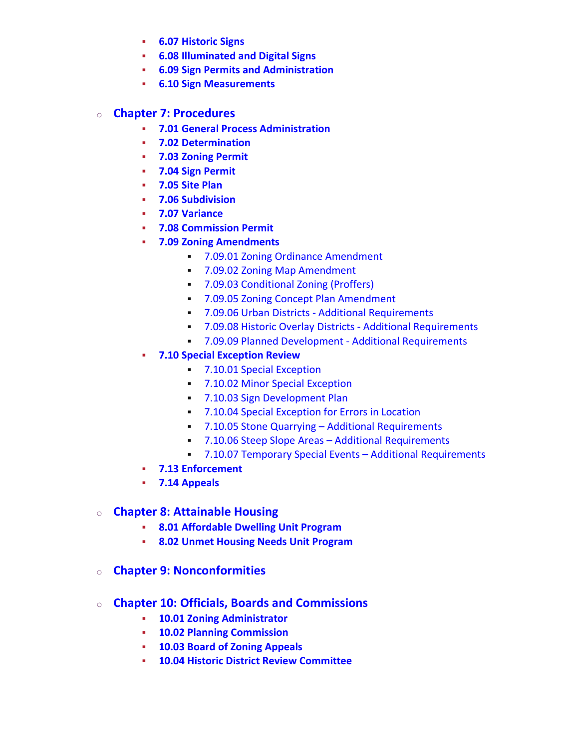- **6.07 [Historic](https://online.encodeplus.com/regs/loudouncounty-va-crosswalk/doc-viewer.aspx?secid=1273) Signs**
- **6.08 [Illuminated](https://online.encodeplus.com/regs/loudouncounty-va-crosswalk/doc-viewer.aspx?secid=1274) and Digital Signs**
- **6.09 Sign Permits and [Administration](https://online.encodeplus.com/regs/loudouncounty-va-crosswalk/doc-viewer.aspx?secid=1275)**
- **6.10 Sign [Measurements](https://online.encodeplus.com/regs/loudouncounty-va-crosswalk/doc-viewer.aspx?secid=1276)**

#### o **Chapter 7: [Procedures](https://online.encodeplus.com/regs/loudouncounty-va-crosswalk/doc-viewer.aspx?secid=70)**

- **7.01 General Process [Administration](https://online.encodeplus.com/regs/loudouncounty-va-crosswalk/doc-viewer.aspx?secid=71)**
- **7.02 [Determination](https://online.encodeplus.com/regs/loudouncounty-va-crosswalk/doc-viewer.aspx?secid=1384)**
- **7.03 [Zoning](https://online.encodeplus.com/regs/loudouncounty-va-crosswalk/doc-viewer.aspx?secid=76) Permit**
- **7.04 Sign [Permit](https://online.encodeplus.com/regs/loudouncounty-va-crosswalk/doc-viewer.aspx?secid=72)**
- **7.05 Site [Plan](https://online.encodeplus.com/regs/loudouncounty-va-crosswalk/doc-viewer.aspx?secid=73)**
- **7.06 [Subdivision](https://online.encodeplus.com/regs/loudouncounty-va-crosswalk/doc-viewer.aspx?secid=74)**
- **7.07 [Variance](https://online.encodeplus.com/regs/loudouncounty-va-crosswalk/doc-viewer.aspx?secid=83)**
- **7.08 [Commission](https://online.encodeplus.com/regs/loudouncounty-va-crosswalk/doc-viewer.aspx?secid=77) Permit**
- **7.09 Zoning [Amendments](https://online.encodeplus.com/regs/loudouncounty-va-crosswalk/doc-viewer.aspx?secid=78)**
	- 7.09.01 Zoning Ordinance [Amendment](https://online.encodeplus.com/regs/loudouncounty-va-crosswalk/doc-viewer.aspx?secid=1344)
	- 7.09.02 Zoning Map [Amendment](https://online.encodeplus.com/regs/loudouncounty-va-crosswalk/doc-viewer.aspx?secid=1401)
	- 7.09.03 [Conditional](https://online.encodeplus.com/regs/loudouncounty-va-crosswalk/doc-viewer.aspx?secid=1345) Zoning (Proffers)
	- 7.09.05 Zoning Concept Plan [Amendment](https://online.encodeplus.com/regs/loudouncounty-va-crosswalk/doc-viewer.aspx?secid=1402)
	- 7.09.06 Urban Districts Additional [Requirements](https://online.encodeplus.com/regs/loudouncounty-va-crosswalk/doc-viewer.aspx?secid=1189)
	- 7.09.08 Historic Overlay Districts Additional [Requirements](https://online.encodeplus.com/regs/loudouncounty-va-crosswalk/doc-viewer.aspx?secid=81)
	- 7.09.09 Planned Development Additional [Requirements](https://online.encodeplus.com/regs/loudouncounty-va-crosswalk/doc-viewer.aspx?secid=1372)
- **7.10 Special [Exception](https://online.encodeplus.com/regs/loudouncounty-va-crosswalk/doc-viewer.aspx?secid=79) Review**
	- **7.10.01 Special [Exception](https://online.encodeplus.com/regs/loudouncounty-va-crosswalk/doc-viewer.aspx?secid=1348)**
	- **7.10.02 Minor Special [Exception](https://online.encodeplus.com/regs/loudouncounty-va-crosswalk/doc-viewer.aspx?secid=1349)**
	- **7.10.03 Sign [Development](https://online.encodeplus.com/regs/loudouncounty-va-crosswalk/doc-viewer.aspx?secid=1350) Plan**
	- **7.10.04 Special [Exception](https://online.encodeplus.com/regs/loudouncounty-va-crosswalk/doc-viewer.aspx?secid=1351) for Errors in Location**
	- 7.10.05 Stone Quarrying Additional [Requirements](https://online.encodeplus.com/regs/loudouncounty-va-crosswalk/doc-viewer.aspx?secid=1196)
	- 7.10.06 Steep Slope Areas Additional [Requirements](https://online.encodeplus.com/regs/loudouncounty-va-crosswalk/doc-viewer.aspx?secid=1440)
	- 7.10.07 Temporary Special Events Additional [Requirements](https://online.encodeplus.com/regs/loudouncounty-va-crosswalk/doc-viewer.aspx?secid=1395)
- **7.13 [Enforcement](https://online.encodeplus.com/regs/loudouncounty-va-crosswalk/doc-viewer.aspx?secid=1374)**
- **7.14 [Appeals](https://online.encodeplus.com/regs/loudouncounty-va-crosswalk/doc-viewer.aspx?secid=1406)**

#### o **Chapter 8: [Attainable](https://online.encodeplus.com/regs/loudouncounty-va-crosswalk/doc-viewer.aspx?secid=86) Housing**

- **8.01 [Affordable](https://online.encodeplus.com/regs/loudouncounty-va-crosswalk/doc-viewer.aspx?secid=87) Dwelling Unit Program**
- **8.02 Unmet Housing Needs Unit [Program](https://online.encodeplus.com/regs/loudouncounty-va-crosswalk/doc-viewer.aspx?secid=1217)**
- o **Chapter 9: [Nonconformities](https://online.encodeplus.com/regs/loudouncounty-va-crosswalk/doc-viewer.aspx?secid=88)**
- o **Chapter 10: Officials, Boards and [Commissions](https://online.encodeplus.com/regs/loudouncounty-va-crosswalk/doc-viewer.aspx?secid=90)**
	- **10.01 Zoning [Administrator](https://online.encodeplus.com/regs/loudouncounty-va-crosswalk/doc-viewer.aspx?secid=91)**
	- **10.02 Planning [Commission](https://online.encodeplus.com/regs/loudouncounty-va-crosswalk/doc-viewer.aspx?secid=92)**
	- **10.03 Board of Zoning [Appeals](https://online.encodeplus.com/regs/loudouncounty-va-crosswalk/doc-viewer.aspx?secid=93)**
	- **10.04 Historic District Review [Committee](https://online.encodeplus.com/regs/loudouncounty-va-crosswalk/doc-viewer.aspx?secid=94)**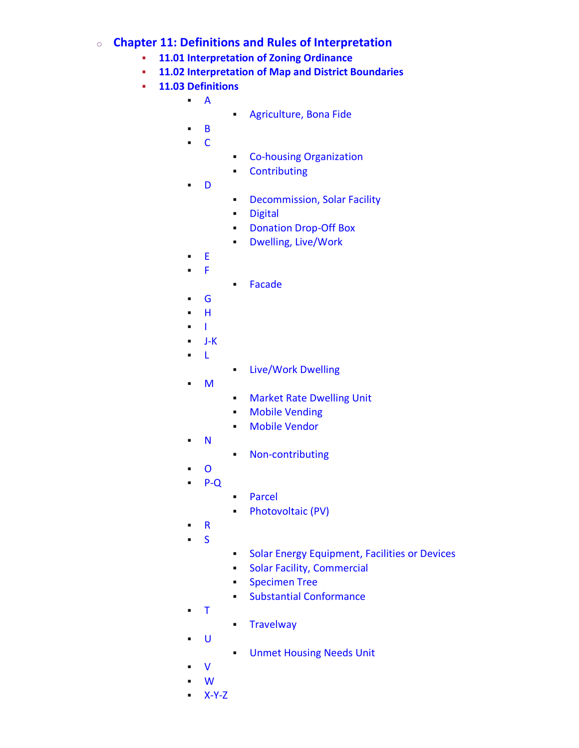# o **Chapter 11: Definitions and Rules of [Interpretation](https://online.encodeplus.com/regs/loudouncounty-va-crosswalk/doc-viewer.aspx?secid=95)**

- **11.01 [Interpretation](https://online.encodeplus.com/regs/loudouncounty-va-crosswalk/doc-viewer.aspx?secid=96) of Zoning Ordinance**
- **11.02 [Interpretation](https://online.encodeplus.com/regs/loudouncounty-va-crosswalk/doc-viewer.aspx?secid=97) of Map and District Boundaries**
- **11.03 [Definitions](https://online.encodeplus.com/regs/loudouncounty-va-crosswalk/doc-viewer.aspx?secid=98)**
	- [A](https://online.encodeplus.com/regs/loudouncounty-va-crosswalk/doc-viewer.aspx?secid=101)
- **[Agriculture,](https://online.encodeplus.com/regs/loudouncounty-va-crosswalk/doc-viewer.aspx?secid=1412) Bona Fide**
- [B](https://online.encodeplus.com/regs/loudouncounty-va-crosswalk/doc-viewer.aspx?secid=144)
- $\blacksquare$  [C](https://online.encodeplus.com/regs/loudouncounty-va-crosswalk/doc-viewer.aspx?secid=170)
- **Example 25 Co-housing [Organization](https://online.encodeplus.com/regs/loudouncounty-va-crosswalk/doc-viewer.aspx?secid=1417)**
- [Contributing](https://online.encodeplus.com/regs/loudouncounty-va-crosswalk/doc-viewer.aspx?secid=1337)
- [D](https://online.encodeplus.com/regs/loudouncounty-va-crosswalk/doc-viewer.aspx?secid=229)
	- **[Decommission,](https://online.encodeplus.com/regs/loudouncounty-va-crosswalk/doc-viewer.aspx?secid=1382) Solar Facility** 
		- [Digital](https://online.encodeplus.com/regs/loudouncounty-va-crosswalk/doc-viewer.aspx?secid=1282)
		- [Donation](https://online.encodeplus.com/regs/loudouncounty-va-crosswalk/doc-viewer.aspx?secid=1373) Drop-Off Box
		- Dwelling, [Live/Work](https://online.encodeplus.com/regs/loudouncounty-va-crosswalk/doc-viewer.aspx?secid=1314)
- [E](https://online.encodeplus.com/regs/loudouncounty-va-crosswalk/doc-viewer.aspx?secid=262)
- [F](https://online.encodeplus.com/regs/loudouncounty-va-crosswalk/doc-viewer.aspx?secid=274)
- [Facade](https://online.encodeplus.com/regs/loudouncounty-va-crosswalk/doc-viewer.aspx?secid=1303)
- [G](https://online.encodeplus.com/regs/loudouncounty-va-crosswalk/doc-viewer.aspx?secid=307)
- [H](https://online.encodeplus.com/regs/loudouncounty-va-crosswalk/doc-viewer.aspx?secid=318)
- [I](https://online.encodeplus.com/regs/loudouncounty-va-crosswalk/doc-viewer.aspx?secid=339)
- $-I-K$
- [L](https://online.encodeplus.com/regs/loudouncounty-va-crosswalk/doc-viewer.aspx?secid=356)
- [Live/Work](https://online.encodeplus.com/regs/loudouncounty-va-crosswalk/doc-viewer.aspx?secid=1376) Dwelling
- [M](https://online.encodeplus.com/regs/loudouncounty-va-crosswalk/doc-viewer.aspx?secid=383)
- **INARKET Rate [Dwelling](https://online.encodeplus.com/regs/loudouncounty-va-crosswalk/doc-viewer.aspx?secid=1354) Unit**
- Mobile [Vending](https://online.encodeplus.com/regs/loudouncounty-va-crosswalk/doc-viewer.aspx?secid=1377)
- Mobile [Vendor](https://online.encodeplus.com/regs/loudouncounty-va-crosswalk/doc-viewer.aspx?secid=1378)
- [N](https://online.encodeplus.com/regs/loudouncounty-va-crosswalk/doc-viewer.aspx?secid=410)
- [Non-contributing](https://online.encodeplus.com/regs/loudouncounty-va-crosswalk/doc-viewer.aspx?secid=1338)
- [O](https://online.encodeplus.com/regs/loudouncounty-va-crosswalk/doc-viewer.aspx?secid=422)
- [P-Q](https://online.encodeplus.com/regs/loudouncounty-va-crosswalk/doc-viewer.aspx?secid=445)
- [Parcel](https://online.encodeplus.com/regs/loudouncounty-va-crosswalk/doc-viewer.aspx?secid=1227)
- [Photovoltaic](https://online.encodeplus.com/regs/loudouncounty-va-crosswalk/doc-viewer.aspx?secid=1381) (PV)
- [R](https://online.encodeplus.com/regs/loudouncounty-va-crosswalk/doc-viewer.aspx?secid=490)
- [S](https://online.encodeplus.com/regs/loudouncounty-va-crosswalk/doc-viewer.aspx?secid=546)
- **Solar Energy [Equipment,](https://online.encodeplus.com/regs/loudouncounty-va-crosswalk/doc-viewer.aspx?secid=1380) Facilities or Devices**
- **Solar Facility, [Commercial](https://online.encodeplus.com/regs/loudouncounty-va-crosswalk/doc-viewer.aspx?secid=1379)**
- **•** [Specimen](https://online.encodeplus.com/regs/loudouncounty-va-crosswalk/doc-viewer.aspx?secid=1334) Tree
- Substantial [Conformance](https://online.encodeplus.com/regs/loudouncounty-va-crosswalk/doc-viewer.aspx?secid=1359)
- [T](https://online.encodeplus.com/regs/loudouncounty-va-crosswalk/doc-viewer.aspx?secid=643)
- [Travelway](https://online.encodeplus.com/regs/loudouncounty-va-crosswalk/doc-viewer.aspx?secid=1364)
- [U](https://online.encodeplus.com/regs/loudouncounty-va-crosswalk/doc-viewer.aspx?secid=669)
	- **Unmet [Housing](https://online.encodeplus.com/regs/loudouncounty-va-crosswalk/doc-viewer.aspx?secid=1224) Needs Unit**
- [V](https://online.encodeplus.com/regs/loudouncounty-va-crosswalk/doc-viewer.aspx?secid=687)
- [W](https://online.encodeplus.com/regs/loudouncounty-va-crosswalk/doc-viewer.aspx?secid=699)
- [X-Y-Z](https://online.encodeplus.com/regs/loudouncounty-va-crosswalk/doc-viewer.aspx?secid=718)